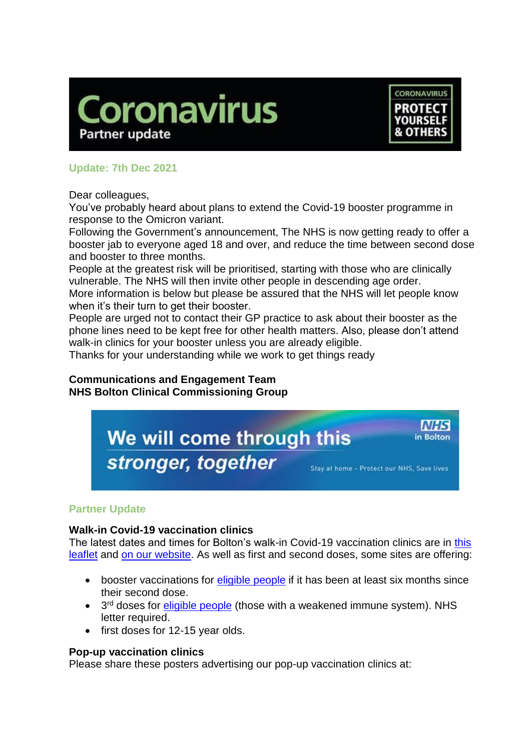



in Bolton

## **Update: 7th Dec 2021**

Dear colleagues,

You've probably heard about plans to extend the Covid-19 booster programme in response to the Omicron variant.

Following the Government's announcement, The NHS is now getting ready to offer a booster jab to everyone aged 18 and over, and reduce the time between second dose and booster to three months.

People at the greatest risk will be prioritised, starting with those who are clinically vulnerable. The NHS will then invite other people in descending age order.

More information is below but please be assured that the NHS will let people know when it's their turn to get their booster.

People are urged not to contact their GP practice to ask about their booster as the phone lines need to be kept free for other health matters. Also, please don't attend walk-in clinics for your booster unless you are already eligible.

Thanks for your understanding while we work to get things ready

### **Communications and Engagement Team NHS Bolton Clinical Commissioning Group**



# **Partner Update**

### **Walk-in Covid-19 vaccination clinics**

The latest dates and times for Bolton's walk-in Covid-19 vaccination clinics are in this [leaflet](https://www.boltonccg.nhs.uk/media/7677/vaccine-site-list_fri_3-dec.pdf) and [on our website.](https://www.boltonccg.nhs.uk/patient-zone/coronavirus) As well as first and second doses, some sites are offering:

- booster vaccinations for [eligible people](https://www.nhs.uk/conditions/coronavirus-covid-19/coronavirus-vaccination/coronavirus-booster-vaccine/) if it has been at least six months since their second dose.
- 3<sup>rd</sup> doses for *eligible people* (those with a weakened immune system). NHS letter required.
- first doses for 12-15 year olds.

### **Pop-up vaccination clinics**

Please share these posters advertising our pop-up vaccination clinics at: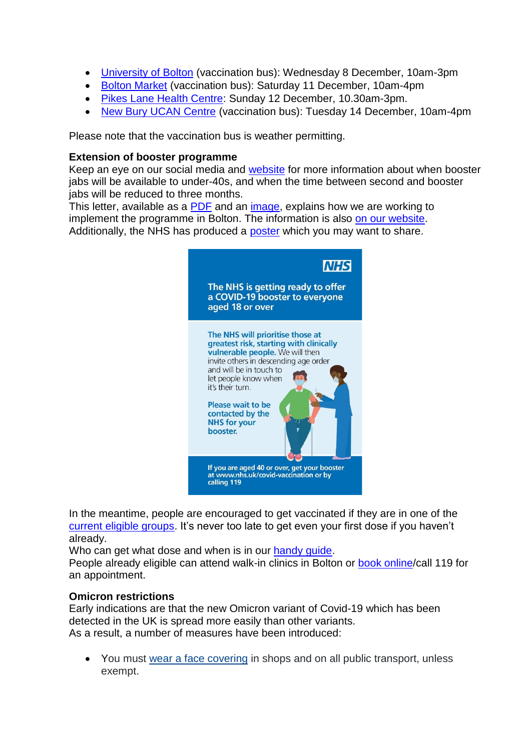- [University of Bolton](https://www.boltonccg.nhs.uk/media/7685/vaccs-_bus_uni.jpg) (vaccination bus): Wednesday 8 December, 10am-3pm
- [Bolton Market](https://www.boltonccg.nhs.uk/media/7684/vaccs-_bus_market.jpg) (vaccination bus): Saturday 11 December, 10am-4pm
- [Pikes Lane Health Centre:](https://www.boltonccg.nhs.uk/media/7686/a5_pikes_lane_vaccine_walkin_1212.jpg) Sunday 12 December, 10.30am-3pm.
- [New Bury UCAN Centre](https://www.boltonccg.nhs.uk/media/7688/vacc_bus_ucan.jpg) (vaccination bus): Tuesday 14 December, 10am-4pm

Please note that the vaccination bus is weather permitting.

#### **Extension of booster programme**

Keep an eye on our social media and [website](https://www.boltonccg.nhs.uk/media/7686/a5_pikes_lane_vaccine_walkin_1212.jpg) for more information about when booster jabs will be available to under-40s, and when the time between second and booster jabs will be reduced to three months.

This letter, available as a [PDF](https://www.boltonccg.nhs.uk/media/7679/ks_vaccsprogupdate_dec02_fin.pdf) and an [image,](https://www.boltonccg.nhs.uk/media/7678/ks_vaccsprogupdate_dec02_fin_001.jpg) explains how we are working to implement the programme in Bolton. The information is also [on our website.](https://www.boltonccg.nhs.uk/news-events/news/changes-to-the-bolton-covid-19-vaccination-programme) Additionally, the NHS has produced a [poster](https://www.boltonccg.nhs.uk/media/7680/covid-booster-poster-01.jpg) which you may want to share.



In the meantime, people are encouraged to get vaccinated if they are in one of the [current eligible groups.](https://www.nhs.uk/conditions/coronavirus-covid-19/coronavirus-vaccination/who-can-get-the-vaccine/) It's never too late to get even your first dose if you haven't already.

Who can get what dose and when is in our handy quide.

People already eligible can attend walk-in clinics in Bolton or [book online/](https://www.nhs.uk/conditions/coronavirus-covid-19/coronavirus-vaccination/book-coronavirus-vaccination/)call 119 for an appointment.

### **Omicron restrictions**

Early indications are that the new Omicron variant of Covid-19 which has been detected in the UK is spread more easily than other variants. As a result, a number of measures have been introduced:

• You must [wear a face covering](https://www.greatermanchester-ca.gov.uk/covid-still-here/#FaceCovering) in shops and on all public transport, unless exempt.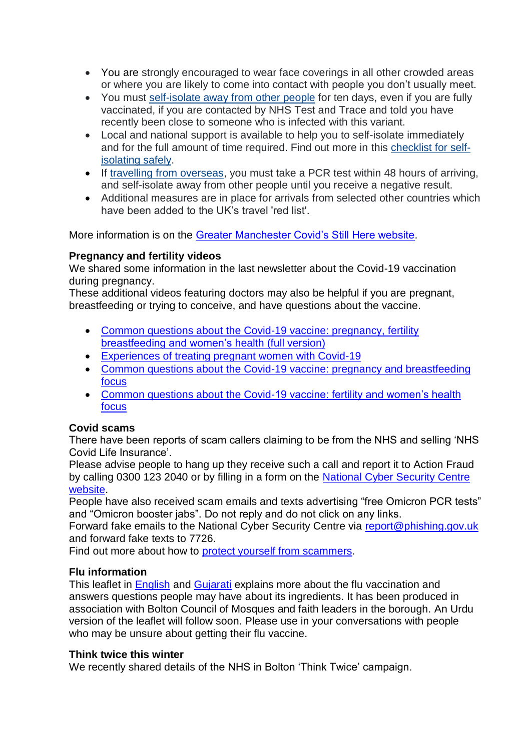- You are strongly encouraged to wear face coverings in all other crowded areas or where you are likely to come into contact with people you don't usually meet.
- You must [self-isolate away from other people](https://www.greatermanchester-ca.gov.uk/covid-still-here/#SelfIsolate) for ten days, even if you are fully vaccinated, if you are contacted by NHS Test and Trace and told you have recently been close to someone who is infected with this variant.
- Local and national support is available to help you to self-isolate immediately and for the full amount of time required. Find out more in this [checklist](https://www.greatermanchester-ca.gov.uk/covid-still-here/10-ways-to-do-your-10-days-checklist-for-self-isolating-safely/) for self[isolating safely.](https://www.greatermanchester-ca.gov.uk/covid-still-here/10-ways-to-do-your-10-days-checklist-for-self-isolating-safely/)
- If [travelling from overseas,](https://www.greatermanchester-ca.gov.uk/covid-still-here#OverseasTravel) you must take a PCR test within 48 hours of arriving, and self-isolate away from other people until you receive a negative result.
- Additional measures are in place for arrivals from selected other countries which have been added to the UK's travel 'red list'.

More information is on the [Greater Manchester Covid's Still Here website.](https://www.greatermanchester-ca.gov.uk/covid-still-here/)

## **Pregnancy and fertility videos**

We shared some information in the last newsletter about the Covid-19 vaccination during pregnancy.

These additional videos featuring doctors may also be helpful if you are pregnant, breastfeeding or trying to conceive, and have questions about the vaccine.

- [Common questions about the Covid-19 vaccine: pregnancy,](https://youtu.be/2nWTkHB4SWU) fertility [breastfeeding and women's](https://youtu.be/2nWTkHB4SWU) health (full version)
- [Experiences of treating pregnant women with Covid-19](https://youtu.be/_RFDPXhUHmA)
- [Common questions about the Covid-19 vaccine: pregnancy and breastfeeding](https://youtu.be/HcZA42gEUyQ)  [focus](https://youtu.be/HcZA42gEUyQ)
- [Common questions about the Covid-19 vaccine: fertility and women's health](https://youtu.be/l-E-jOanioM)  [focus](https://youtu.be/l-E-jOanioM)

## **Covid scams**

There have been reports of scam callers claiming to be from the NHS and selling 'NHS Covid Life Insurance'.

Please advise people to hang up they receive such a call and report it to Action Fraud by calling 0300 123 2040 or by filling in a form on the [National Cyber Security Centre](https://www.ncsc.gov.uk/collection/phishing-scams/report-scam-call)  [website.](https://www.ncsc.gov.uk/collection/phishing-scams/report-scam-call)

People have also received scam emails and texts advertising "free Omicron PCR tests" and "Omicron booster jabs". Do not reply and do not click on any links.

Forward fake emails to the National Cyber Security Centre via [report@phishing.gov.uk](mailto:report@phishing.gov.uk) and forward fake texts to 7726.

Find out more about how to [protect yourself from scammers.](https://takefive-stopfraud.org.uk/)

### **Flu information**

This leaflet in [English](https://www.boltonccg.nhs.uk/media/7681/flu_2021_leaflet_english_fin_web-compressed-1.pdf) and [Gujarati](https://www.boltonccg.nhs.uk/media/7682/flu_2021_leaflet_fin-gujarati.pdf) explains more about the flu vaccination and answers questions people may have about its ingredients. It has been produced in association with Bolton Council of Mosques and faith leaders in the borough. An Urdu version of the leaflet will follow soon. Please use in your conversations with people who may be unsure about getting their flu vaccine.

### **Think twice this winter**

We recently shared details of the NHS in Bolton 'Think Twice' campaign.